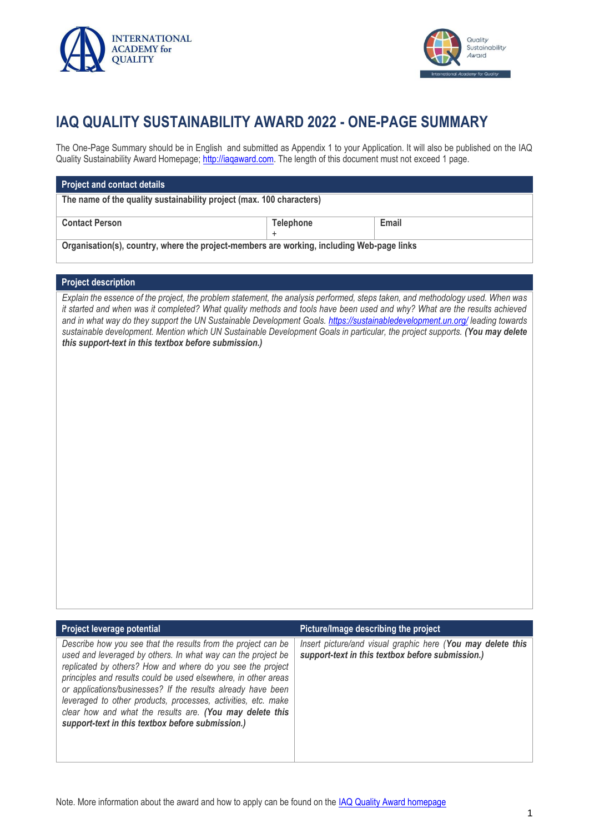



## **IAQ QUALITY SUSTAINABILITY AWARD 2022 - ONE-PAGE SUMMARY**

The One-Page Summary should be in English and submitted as Appendix 1 to your Application. It will also be published on the IAQ Quality Sustainability Award Homepage; http://iagaward.com. The length of this document must not exceed 1 page.

## **Project and contact details**

**The name of the quality sustainability project (max. 100 characters)**

**Contact Person**

**Telephone** +

**Email**

**Organisation(s), country, where the project-members are working, including Web-page links**

## **Project description**

*Explain the essence of the project, the problem statement, the analysis performed, steps taken, and methodology used. When was it started and when was it completed? What quality methods and tools have been used and why? What are the results achieved and in what way do they support the UN Sustainable Development Goals.<https://sustainabledevelopment.un.org/> leading towards sustainable development. Mention which UN Sustainable Development Goals in particular, the project supports. (You may delete this support-text in this textbox before submission.)*

| Project leverage potential                                                                                                                                                                                                                                                                                                                                                                                                                                                                                     | Picture/Image describing the project                                                                            |
|----------------------------------------------------------------------------------------------------------------------------------------------------------------------------------------------------------------------------------------------------------------------------------------------------------------------------------------------------------------------------------------------------------------------------------------------------------------------------------------------------------------|-----------------------------------------------------------------------------------------------------------------|
| Describe how you see that the results from the project can be<br>used and leveraged by others. In what way can the project be<br>replicated by others? How and where do you see the project<br>principles and results could be used elsewhere, in other areas<br>or applications/businesses? If the results already have been<br>leveraged to other products, processes, activities, etc. make<br>clear how and what the results are. (You may delete this<br>support-text in this textbox before submission.) | Insert picture/and visual graphic here (You may delete this<br>support-text in this textbox before submission.) |